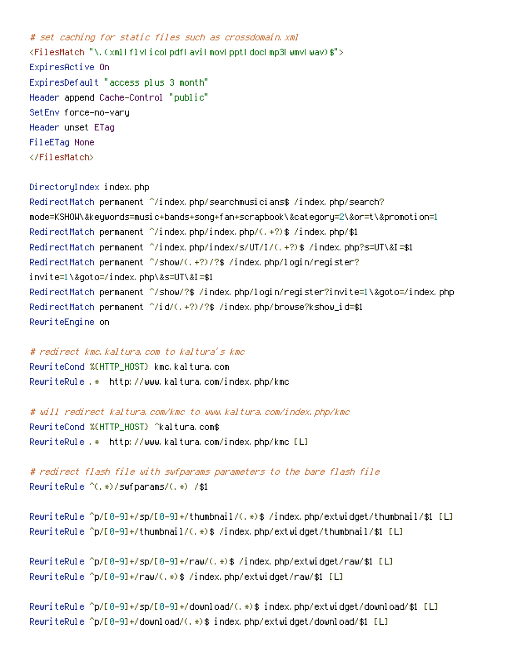# set caching for static files such as crossdomain.xml <FilesMatch "\.(xml|flv|ico|pdf|avi|mov|ppt|doc|mp3|wmv|wav)\$"> ExpiresActive On ExpiresDefault "access plus 3 month" Header append Cache-Control "public" SetEnv force-no-vary Header unset ETag FileETag None </FilesMatch>

DirectoryIndex index.php RedirectMatch permanent ^/index.php/searchmusicians\$ /index.php/search? mode=KSHOW\&keywords=music+bands+song+fan+scrapbook\&category=2\&or=t\&promotion=1 RedirectMatch permanent ^/index.php/index.php/(.+?)\$ /index.php/\$1 RedirectMatch permanent ^/index.php/index/s/UT/I/(.+?)\$ /index.php?s=UT\&I=\$1 RedirectMatch permanent ^/show/(.+?)/?\$ /index.php/login/register? invite=1\&goto=/index.php\&s=UT\&I=\$1 RedirectMatch permanent ^/show/?\$ /index.php/login/register?invite=1\&goto=/index.php RedirectMatch permanent ^/id/(.+?)/?\$ /index.php/browse?kshow\_id=\$1 RewriteEngine on

## # redirect kmc.kaltura.com to kaltura's kmc

RewriteCond %{HTTP\_HOST} kmc.kaltura.com RewriteRule .\* http://www.kaltura.com/index.php/kmc

# will redirect kaltura.com/kmc to www.kaltura.com/index.php/kmc RewriteCond %{HTTP\_HOST} ^kaltura.com\$ RewriteRule .\* http://www.kaltura.com/index.php/kmc [L]

# redirect flash file with swfparams parameters to the bare flash file RewriteRule ^(.\*)/swfparams/(.\*) /\$1

RewriteRule ^p/[0-9]+/sp/[0-9]+/thumbnail/(.\*)\$ /index.php/extwidget/thumbnail/\$1 [L] RewriteRule ^p/[0-9]+/thumbnail/(.\*)\$ /index.php/extwidget/thumbnail/\$1 [L]

RewriteRule ^p/[0-9]+/sp/[0-9]+/raw/(.\*)\$ /index.php/extwidget/raw/\$1 [L] RewriteRule ^p/[0-9]+/raw/(.\*)\$ /index.php/extwidget/raw/\$1 [L]

RewriteRule ^p/[0-9]+/sp/[0-9]+/download/(.\*)\$ index.php/extwidget/download/\$1 [L] RewriteRule ^p/[0-9]+/download/(.\*)\$ index.php/extwidget/download/\$1 [L]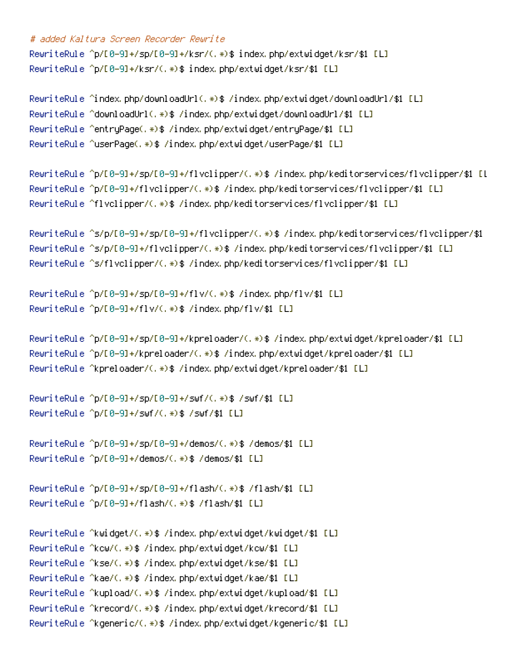# added Kaltura Screen Recorder Rewrite

RewriteRule ^p/[0-9]+/sp/[0-9]+/ksr/(.\*)\$ index.php/extwidget/ksr/\$1 [L] RewriteRule ^p/[0-9]+/ksr/(.\*)\$ index.php/extwidget/ksr/\$1 [L]

```
RewriteRule ^index.php/downloadUrl(.*)$ /index.php/extwidget/downloadUrl/$1 [L]
RewriteRule ^downloadUrl(.*)$ /index.php/extwidget/downloadUrl/$1 [L]
RewriteRule ^entryPage(.*)$ /index.php/extwidget/entryPage/$1 [L]
RewriteRule ^userPage(.*)$ /index.php/extwidget/userPage/$1 [L]
```

```
RewriteRule ^p/[0-9]+/sp/[0-9]+/flvclipper/(.*)$ /index.php/keditorservices/flvclipper/$1 [L
RewriteRule ^p/[0-9]+/flvclipper/(.*)$ /index.php/keditorservices/flvclipper/$1 [L]
RewriteRule ^flvclipper/(.*)$ /index.php/keditorservices/flvclipper/$1 [L]
```

```
RewriteRule ^s/p/[0-9]+/sp/[0-9]+/flvclipper/(.*)$ /index.php/keditorservices/flvclipper/$1
RewriteRule ^s/p/[0-9]+/flvclipper/(.*)$ /index.php/keditorservices/flvclipper/$1 [L]
RewriteRule ^s/flvclipper/(.*)$ /index.php/keditorservices/flvclipper/$1 [L]
```

```
RewriteRule ^p/[0-9]+/sp/[0-9]+/flv/(.*)$ /index.php/flv/$1 [L]
RewriteRule ^p/[0-9]+/flv/(.*)$ /index.php/flv/$1 [L]
```

```
RewriteRule ^p/[0-9]+/sp/[0-9]+/kpreloader/(.*)$ /index.php/extwidget/kpreloader/$1 [L]
RewriteRule ^p/[0-9]+/kpreloader/(.*)$ /index.php/extwidget/kpreloader/$1 [L]
RewriteRule ^kpreloader/(.*)$ /index.php/extwidget/kpreloader/$1 [L]
```

```
RewriteRule ^p/[0-9]+/sp/[0-9]+/swf/(.*)$ /swf/$1 [L]
RewriteRule ^p/[0-9]+/swf/(.*)$ /swf/$1 [L]
```

```
RewriteRule ^p/[0-9]+/sp/[0-9]+/demos/(.*)$ /demos/$1 [L]
RewriteRule ^p/[0-9]+/demos/(.*)$ /demos/$1 [L]
```

```
RewriteRule ^p/[0-9]+/sp/[0-9]+/flash/(.*)$ /flash/$1 [L]
RewriteRule ^p/[0-9]+/flash/(.*)$ /flash/$1 [L]
```

```
RewriteRule ^kwidget/(.*)$ /index.php/extwidget/kwidget/$1 [L]
RewriteRule ^kcw/(.*)$ /index.php/extwidget/kcw/$1 [L]
RewriteRule ^kse/(.*)$ /index.php/extwidget/kse/$1 [L]
RewriteRule ^kae/(.*)$ /index.php/extwidget/kae/$1 [L]
RewriteRule ^kupload/(.*)$ /index.php/extwidget/kupload/$1 [L]
RewriteRule ^krecord/(.*)$ /index.php/extwidget/krecord/$1 [L]
RewriteRule ^kgeneric/(.*)$ /index.php/extwidget/kgeneric/$1 [L]
```